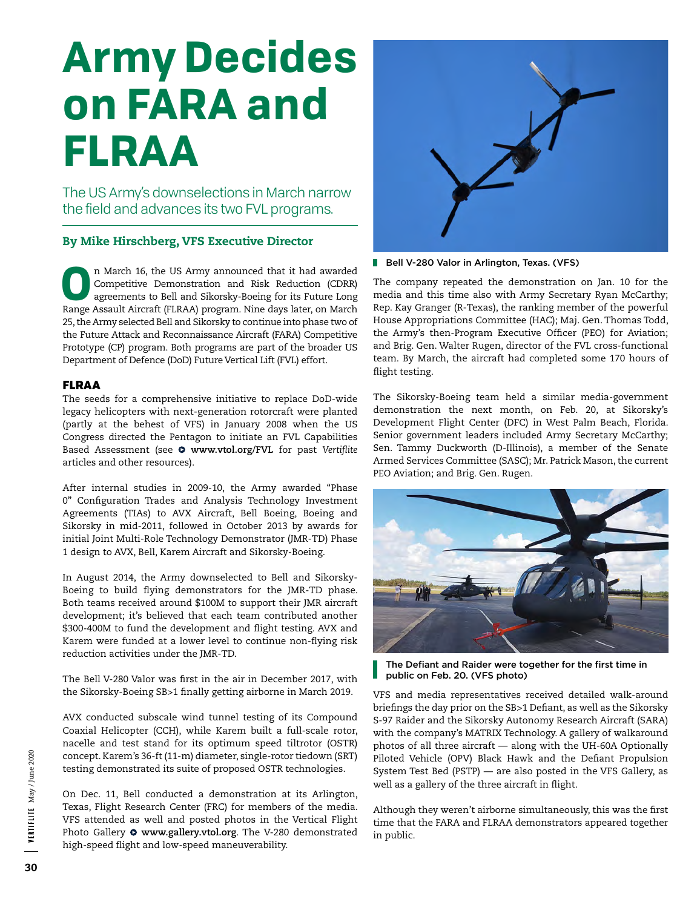# **Army Decides on FARA and FLRAA**

The US Army's downselections in March narrow the field and advances its two FVL programs.

## By Mike Hirschberg, VFS Executive Director

**O**n March 16, the US Army announced that it had awarded Competitive Demonstration and Risk Reduction (CDRR) agreements to Bell and Sikorsky-Boeing for its Future Long Range Assault Aircraft (FLRAA) program. Nine days later, on March 25, the Army selected Bell and Sikorsky to continue into phase two of the Future Attack and Reconnaissance Aircraft (FARA) Competitive Prototype (CP) program. Both programs are part of the broader US Department of Defence (DoD) Future Vertical Lift (FVL) effort.

### FLRAA

The seeds for a comprehensive initiative to replace DoD-wide legacy helicopters with next-generation rotorcraft were planted (partly at the behest of VFS) in January 2008 when the US Congress directed the Pentagon to initiate an FVL Capabilities Based Assessment (see **[www.vtol.org/FVL](http://www.vtol.org/FVL)** for past *Vertiflite*  articles and other resources).

After internal studies in 2009-10, the Army awarded "Phase 0" Configuration Trades and Analysis Technology Investment Agreements (TIAs) to AVX Aircraft, Bell Boeing, Boeing and Sikorsky in mid-2011, followed in October 2013 by awards for initial Joint Multi-Role Technology Demonstrator (JMR-TD) Phase 1 design to AVX, Bell, Karem Aircraft and Sikorsky-Boeing.

In August 2014, the Army downselected to Bell and Sikorsky-Boeing to build flying demonstrators for the JMR-TD phase. Both teams received around \$100M to support their JMR aircraft development; it's believed that each team contributed another \$300-400M to fund the development and flight testing. AVX and Karem were funded at a lower level to continue non-flying risk reduction activities under the JMR-TD.

The Bell V-280 Valor was first in the air in December 2017, with the Sikorsky-Boeing SB>1 finally getting airborne in March 2019.

AVX conducted subscale wind tunnel testing of its Compound Coaxial Helicopter (CCH), while Karem built a full-scale rotor, nacelle and test stand for its optimum speed tiltrotor (OSTR) concept. Karem's 36-ft (11-m) diameter, single-rotor tiedown (SRT) testing demonstrated its suite of proposed OSTR technologies.

On Dec. 11, Bell conducted a demonstration at its Arlington, Texas, Flight Research Center (FRC) for members of the media. VFS attended as well and posted photos in the Vertical Flight Photo Gallery **[www.gallery.vtol.org](http://www.gallery.vtol.org)**. The V-280 demonstrated high-speed flight and low-speed maneuverability.



Bell V-280 Valor in Arlington, Texas. (VFS)

The company repeated the demonstration on Jan. 10 for the media and this time also with Army Secretary Ryan McCarthy; Rep. Kay Granger (R-Texas), the ranking member of the powerful House Appropriations Committee (HAC); Maj. Gen. Thomas Todd, the Army's then-Program Executive Officer (PEO) for Aviation; and Brig. Gen. Walter Rugen, director of the FVL cross-functional team. By March, the aircraft had completed some 170 hours of flight testing.

The Sikorsky-Boeing team held a similar media-government demonstration the next month, on Feb. 20, at Sikorsky's Development Flight Center (DFC) in West Palm Beach, Florida. Senior government leaders included Army Secretary McCarthy; Sen. Tammy Duckworth (D-Illinois), a member of the Senate Armed Services Committee (SASC); Mr. Patrick Mason, the current PEO Aviation; and Brig. Gen. Rugen.



The Defiant and Raider were together for the first time in public on Feb. 20. (VFS photo)

VFS and media representatives received detailed walk-around briefings the day prior on the SB>1 Defiant, as well as the Sikorsky S-97 Raider and the Sikorsky Autonomy Research Aircraft (SARA) with the company's MATRIX Technology. A gallery of walkaround photos of all three aircraft — along with the UH-60A Optionally Piloted Vehicle (OPV) Black Hawk and the Defiant Propulsion System Test Bed (PSTP) — are also posted in the VFS Gallery, as well as a gallery of the three aircraft in flight.

Although they weren't airborne simultaneously, this was the first time that the FARA and FLRAA demonstrators appeared together in public.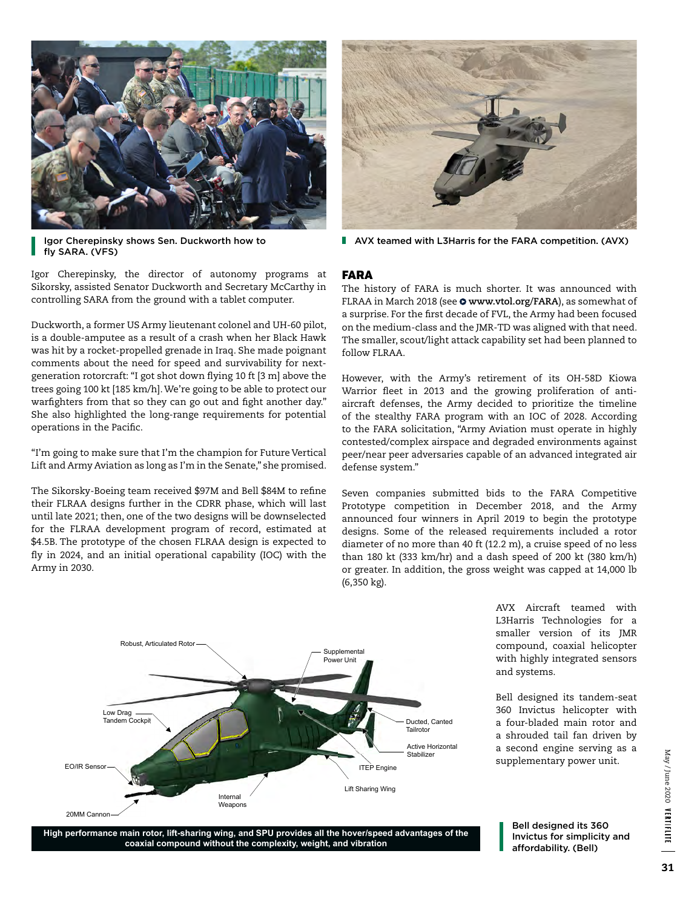



Igor Cherepinsky shows Sen. Duckworth how to fly SARA. (VFS)

Igor Cherepinsky, the director of autonomy programs at Sikorsky, assisted Senator Duckworth and Secretary McCarthy in controlling SARA from the ground with a tablet computer.

Duckworth, a former US Army lieutenant colonel and UH-60 pilot, is a double-amputee as a result of a crash when her Black Hawk was hit by a rocket-propelled grenade in Iraq. She made poignant comments about the need for speed and survivability for nextgeneration rotorcraft: "I got shot down flying 10 ft [3 m] above the trees going 100 kt [185 km/h]. We're going to be able to protect our warfighters from that so they can go out and fight another day." She also highlighted the long-range requirements for potential operations in the Pacific.

"I'm going to make sure that I'm the champion for Future Vertical Lift and Army Aviation as long as I'm in the Senate," she promised.

The Sikorsky-Boeing team received \$97M and Bell \$84M to refine their FLRAA designs further in the CDRR phase, which will last until late 2021; then, one of the two designs will be downselected for the FLRAA development program of record, estimated at \$4.5B. The prototype of the chosen FLRAA design is expected to fly in 2024, and an initial operational capability (IOC) with the Army in 2030.

**AVX teamed with L3Harris for the FARA competition. (AVX)** 

#### FARA

The history of FARA is much shorter. It was announced with FLRAA in March 2018 (see **[www.vtol.org/FARA](http://www.vtol.org/FARA)**), as somewhat of a surprise. For the first decade of FVL, the Army had been focused on the medium-class and the JMR-TD was aligned with that need. The smaller, scout/light attack capability set had been planned to follow FLRAA.

However, with the Army's retirement of its OH-58D Kiowa Warrior fleet in 2013 and the growing proliferation of antiaircraft defenses, the Army decided to prioritize the timeline of the stealthy FARA program with an IOC of 2028. According to the FARA solicitation, "Army Aviation must operate in highly contested/complex airspace and degraded environments against peer/near peer adversaries capable of an advanced integrated air defense system."

Seven companies submitted bids to the FARA Competitive Prototype competition in December 2018, and the Army announced four winners in April 2019 to begin the prototype designs. Some of the released requirements included a rotor diameter of no more than 40 ft (12.2 m), a cruise speed of no less than 180 kt (333 km/hr) and a dash speed of 200 kt (380 km/h) or greater. In addition, the gross weight was capped at 14,000 lb (6,350 kg).



AVX Aircraft teamed with L3Harris Technologies for a smaller version of its JMR compound, coaxial helicopter with highly integrated sensors and systems.

Bell designed its tandem-seat 360 Invictus helicopter with a four-bladed main rotor and a shrouded tail fan driven by a second engine serving as a supplementary power unit.

May/June 2020 VERTIFLITE May / June 2020 VERTIFLITE

**High performance main rotor, lift-sharing wing, and SPU provides all the hover/speed advantages of the coaxial compound without the complexity, weight, and vibration**

Bell designed its 360 Invictus for simplicity and affordability. (Bell)